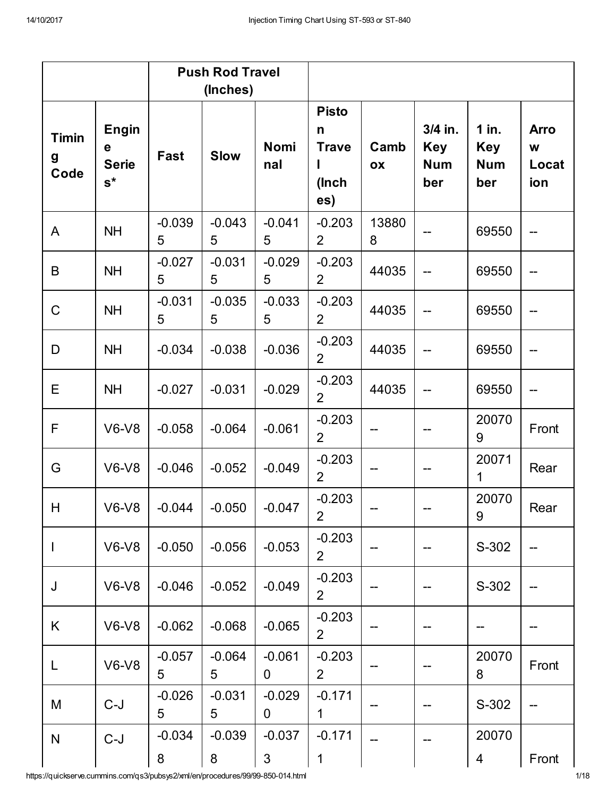|                           |                                            |               | <b>Push Rod Travel</b><br>(Inches) |                    |                                                   |            |                                            |                                            |                                  |
|---------------------------|--------------------------------------------|---------------|------------------------------------|--------------------|---------------------------------------------------|------------|--------------------------------------------|--------------------------------------------|----------------------------------|
| <b>Timin</b><br>g<br>Code | <b>Engin</b><br>е<br><b>Serie</b><br>$s^*$ | <b>Fast</b>   | <b>Slow</b>                        | <b>Nomi</b><br>nal | <b>Pisto</b><br>n<br><b>Trave</b><br>(Inch<br>es) | Camb<br>OX | 3/4 in.<br><b>Key</b><br><b>Num</b><br>ber | $1$ in.<br><b>Key</b><br><b>Num</b><br>ber | <b>Arro</b><br>W<br>Locat<br>ion |
| A                         | <b>NH</b>                                  | $-0.039$<br>5 | $-0.043$<br>5                      | $-0.041$<br>5      | $-0.203$<br>$\overline{2}$                        | 13880<br>8 |                                            | 69550                                      |                                  |
| B                         | <b>NH</b>                                  | $-0.027$<br>5 | $-0.031$<br>5                      | $-0.029$<br>5      | $-0.203$<br>$\overline{2}$                        | 44035      |                                            | 69550                                      | --                               |
| $\mathsf C$               | <b>NH</b>                                  | $-0.031$<br>5 | $-0.035$<br>5                      | $-0.033$<br>5      | $-0.203$<br>$\overline{2}$                        | 44035      |                                            | 69550                                      | $-$                              |
| D                         | <b>NH</b>                                  | $-0.034$      | $-0.038$                           | $-0.036$           | $-0.203$<br>$\overline{2}$                        | 44035      |                                            | 69550                                      |                                  |
| E                         | <b>NH</b>                                  | $-0.027$      | $-0.031$                           | $-0.029$           | $-0.203$<br>$\overline{2}$                        | 44035      |                                            | 69550                                      | $\qquad \qquad -$                |
| F                         | $V6-V8$                                    | $-0.058$      | $-0.064$                           | $-0.061$           | $-0.203$<br>$\overline{2}$                        |            |                                            | 20070<br>9                                 | Front                            |
| G                         | $V6-V8$                                    | $-0.046$      | $-0.052$                           | $-0.049$           | $-0.203$<br>$\overline{2}$                        |            |                                            | 20071<br>1                                 | Rear                             |
| H                         | <b>V6-V8</b>                               | $-0.044$      | $-0.050$                           | $-0.047$           | $-0.203$<br>$\overline{2}$                        |            |                                            | 20070<br>9                                 | Rear                             |
|                           | <b>V6-V8</b>                               | $-0.050$      | $-0.056$                           | $-0.053$           | $-0.203$<br>$\overline{2}$                        |            |                                            | S-302                                      |                                  |
| J                         | $V6-V8$                                    | $-0.046$      | $-0.052$                           | $-0.049$           | $-0.203$<br>$\overline{2}$                        |            |                                            | S-302                                      |                                  |
| K                         | $V6-V8$                                    | $-0.062$      | $-0.068$                           | $-0.065$           | $-0.203$<br>$\overline{2}$                        |            |                                            |                                            |                                  |
| L                         | <b>V6-V8</b>                               | $-0.057$<br>5 | $-0.064$<br>5                      | $-0.061$<br>0      | $-0.203$<br>$\overline{2}$                        |            |                                            | 20070<br>8                                 | Front                            |
| M                         | $C-J$                                      | $-0.026$<br>5 | $-0.031$<br>5                      | $-0.029$<br>0      | $-0.171$<br>$\mathbf 1$                           |            |                                            | S-302                                      |                                  |
| N                         | $C-J$                                      | $-0.034$<br>8 | $-0.039$<br>8                      | $-0.037$<br>3      | $-0.171$<br>1                                     |            |                                            | 20070<br>4                                 | Front                            |

https://quickserve.cummins.com/qs3/pubsys2/xml/en/procedures/99/99-850-014.html 1/18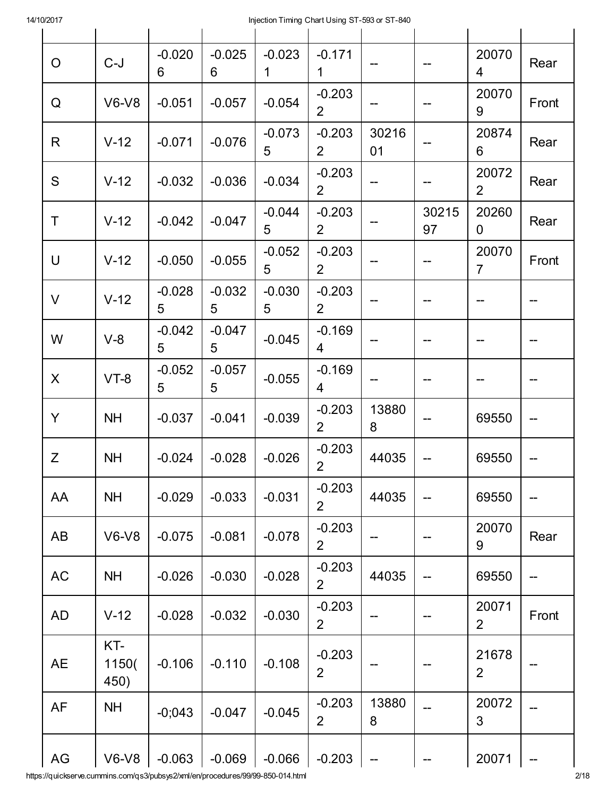| O             | $C-J$                | $-0.020$<br>6 | $-0.025$<br>6 | $-0.023$<br>1 | $-0.171$<br>$\mathbf 1$    |                          |             | 20070<br>4              | Rear  |
|---------------|----------------------|---------------|---------------|---------------|----------------------------|--------------------------|-------------|-------------------------|-------|
| Q             | $V6-V8$              | $-0.051$      | $-0.057$      | $-0.054$      | $-0.203$<br>$\overline{2}$ | --                       |             | 20070<br>9              | Front |
| R             | $V-12$               | $-0.071$      | $-0.076$      | $-0.073$<br>5 | $-0.203$<br>$\overline{2}$ | 30216<br>01              |             | 20874<br>6              | Rear  |
| S             | $V-12$               | $-0.032$      | $-0.036$      | $-0.034$      | $-0.203$<br>$\overline{2}$ | $\qquad \qquad -$        | --          | 20072<br>$\overline{2}$ | Rear  |
| Τ             | $V-12$               | $-0.042$      | $-0.047$      | $-0.044$<br>5 | $-0.203$<br>2 <sup>1</sup> |                          | 30215<br>97 | 20260<br>$\overline{0}$ | Rear  |
| U             | $V-12$               | $-0.050$      | $-0.055$      | $-0.052$<br>5 | $-0.203$<br>$\overline{2}$ |                          |             | 20070<br>$\overline{7}$ | Front |
| V             | $V-12$               | $-0.028$<br>5 | $-0.032$<br>5 | $-0.030$<br>5 | $-0.203$<br>$\overline{2}$ |                          |             |                         |       |
| W             | $V-8$                | $-0.042$<br>5 | $-0.047$<br>5 | $-0.045$      | $-0.169$<br>4              |                          |             | --                      |       |
| X             | $VT-8$               | $-0.052$<br>5 | $-0.057$<br>5 | $-0.055$      | $-0.169$<br>4              |                          |             |                         |       |
| Y             | <b>NH</b>            | $-0.037$      | $-0.041$      | $-0.039$      | $-0.203$<br>$\overline{2}$ | 13880<br>8               |             | 69550                   | --    |
| Z             | <b>NH</b>            | $-0.024$      | $-0.028$      | $-0.026$      | $-0.203$<br>$\overline{2}$ | 44035                    |             | 69550                   |       |
| AA            | <b>NH</b>            | $-0.029$      | $-0.033$      | $-0.031$      | $-0.203$<br>$\overline{2}$ | 44035                    |             | 69550                   |       |
| AB            | $V6-V8$              | $-0.075$      | $-0.081$      | $-0.078$      | $-0.203$<br>$\overline{2}$ |                          |             | 20070<br>9              | Rear  |
| AC            | <b>NH</b>            | $-0.026$      | $-0.030$      | $-0.028$      | $-0.203$<br>$\overline{2}$ | 44035                    |             | 69550                   |       |
| AD            | $V-12$               | $-0.028$      | $-0.032$      | $-0.030$      | $-0.203$<br>$\overline{2}$ |                          |             | 20071<br>$\overline{2}$ | Front |
| <b>AE</b>     | KT-<br>1150(<br>450) | $-0.106$      | $-0.110$      | $-0.108$      | $-0.203$<br>$\overline{2}$ |                          |             | 21678<br>$\overline{2}$ |       |
| AF            | <b>NH</b>            | $-0;043$      | $-0.047$      | $-0.045$      | $-0.203$<br>$\overline{2}$ | 13880<br>8               |             | 20072<br>3              |       |
| $\mathsf{AG}$ | $V6-V8$              | $-0.063$      | $-0.069$      | $-0.066$      | $-0.203$                   | $\overline{\phantom{a}}$ |             | 20071                   |       |

https://quickserve.cummins.com/qs3/pubsys2/xml/en/procedures/99/99-850-014.html 2/18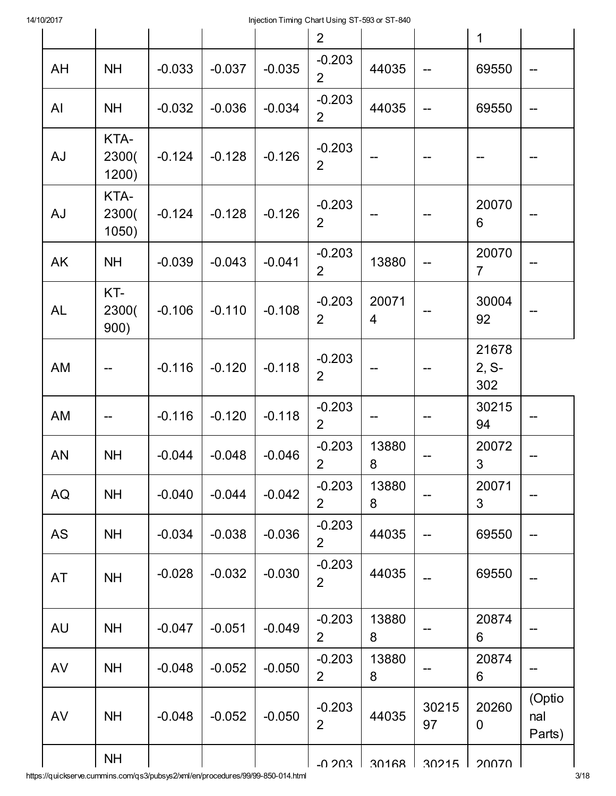|           |                        |          |          |          | $\overline{2}$             |                         |             | $\mathbf 1$             |                         |
|-----------|------------------------|----------|----------|----------|----------------------------|-------------------------|-------------|-------------------------|-------------------------|
|           |                        |          |          |          |                            |                         |             |                         |                         |
| AH        | <b>NH</b>              | $-0.033$ | $-0.037$ | $-0.035$ | $-0.203$<br>$\overline{2}$ | 44035                   | --          | 69550                   |                         |
| AI        | <b>NH</b>              | $-0.032$ | $-0.036$ | $-0.034$ | $-0.203$<br>$\overline{2}$ | 44035                   |             | 69550                   |                         |
| AJ        | KTA-<br>2300(<br>1200) | $-0.124$ | $-0.128$ | $-0.126$ | $-0.203$<br>$\overline{2}$ |                         |             |                         |                         |
| AJ        | KTA-<br>2300(<br>1050) | $-0.124$ | $-0.128$ | $-0.126$ | $-0.203$<br>$\overline{2}$ |                         |             | 20070<br>6              |                         |
| AK        | <b>NH</b>              | $-0.039$ | $-0.043$ | $-0.041$ | $-0.203$<br>$\overline{2}$ | 13880                   |             | 20070<br>$\overline{7}$ |                         |
| <b>AL</b> | KT-<br>2300(<br>900)   | $-0.106$ | $-0.110$ | $-0.108$ | $-0.203$<br>$\overline{2}$ | 20071<br>$\overline{4}$ |             | 30004<br>92             |                         |
| <b>AM</b> |                        | $-0.116$ | $-0.120$ | $-0.118$ | $-0.203$<br>$\overline{2}$ |                         |             | 21678<br>$2, S-$<br>302 |                         |
| AM        |                        | $-0.116$ | $-0.120$ | $-0.118$ | $-0.203$<br>$\overline{2}$ |                         | --          | 30215<br>94             |                         |
| <b>AN</b> | <b>NH</b>              | $-0.044$ | $-0.048$ | $-0.046$ | $-0.203$<br>$\overline{2}$ | 13880<br>8              |             | 20072<br>3              |                         |
| AQ        | <b>NH</b>              | $-0.040$ | $-0.044$ | $-0.042$ | $-0.203$<br>$\overline{2}$ | 13880<br>8              |             | 20071<br>3              |                         |
| AS        | <b>NH</b>              | $-0.034$ | $-0.038$ | $-0.036$ | $-0.203$<br>$\overline{2}$ | 44035                   | --          | 69550                   |                         |
| AT        | <b>NH</b>              | $-0.028$ | $-0.032$ | $-0.030$ | $-0.203$<br>$\overline{2}$ | 44035                   |             | 69550                   |                         |
| AU        | <b>NH</b>              | $-0.047$ | $-0.051$ | $-0.049$ | $-0.203$<br>$\overline{2}$ | 13880<br>8              |             | 20874<br>6              |                         |
| AV        | <b>NH</b>              | $-0.048$ | $-0.052$ | $-0.050$ | $-0.203$<br>$\overline{2}$ | 13880<br>8              |             | 20874<br>6              |                         |
| AV        | <b>NH</b>              | $-0.048$ | $-0.052$ | $-0.050$ | $-0.203$<br>$\overline{2}$ | 44035                   | 30215<br>97 | 20260<br>$\mathbf 0$    | (Optio<br>nal<br>Parts) |
|           | <b>NH</b>              |          |          |          | $-0.203$                   | 30168                   | 30215       | 20070                   |                         |

https://quickserve.cummins.com/qs3/pubsys2/xml/en/procedures/99/99-850-014.html 30-18-000-014.html 3/18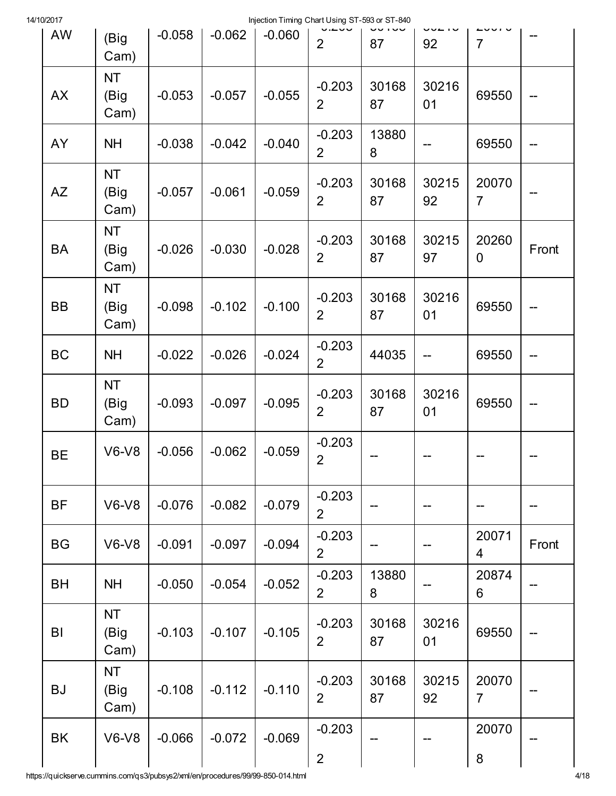| 14/10/2017 |                           |          |          | Injection Timing Chart Using ST-593 or ST-840 |                            |             |             |                         |       |
|------------|---------------------------|----------|----------|-----------------------------------------------|----------------------------|-------------|-------------|-------------------------|-------|
| <b>AW</b>  | (Big<br>Cam)              | $-0.058$ | $-0.062$ | $-0.060$                                      | $\overline{2}$             | 87          | 92          | $\overline{7}$          |       |
| <b>AX</b>  | <b>NT</b><br>(Big<br>Cam) | $-0.053$ | $-0.057$ | $-0.055$                                      | $-0.203$<br>$\overline{2}$ | 30168<br>87 | 30216<br>01 | 69550                   | --    |
| AY         | <b>NH</b>                 | $-0.038$ | $-0.042$ | $-0.040$                                      | $-0.203$<br>$\overline{2}$ | 13880<br>8  |             | 69550                   | --    |
| <b>AZ</b>  | <b>NT</b><br>(Big<br>Cam) | $-0.057$ | $-0.061$ | $-0.059$                                      | $-0.203$<br>$\overline{2}$ | 30168<br>87 | 30215<br>92 | 20070<br>$\overline{7}$ |       |
| <b>BA</b>  | <b>NT</b><br>(Big<br>Cam) | $-0.026$ | $-0.030$ | $-0.028$                                      | $-0.203$<br>$\overline{2}$ | 30168<br>87 | 30215<br>97 | 20260<br>$\mathbf 0$    | Front |
| <b>BB</b>  | <b>NT</b><br>(Big<br>Cam) | $-0.098$ | $-0.102$ | $-0.100$                                      | $-0.203$<br>$\overline{2}$ | 30168<br>87 | 30216<br>01 | 69550                   | --    |
| <b>BC</b>  | <b>NH</b>                 | $-0.022$ | $-0.026$ | $-0.024$                                      | $-0.203$<br>$\overline{2}$ | 44035       | --          | 69550                   | --    |
| <b>BD</b>  | <b>NT</b><br>(Big<br>Cam) | $-0.093$ | $-0.097$ | $-0.095$                                      | $-0.203$<br>$\overline{2}$ | 30168<br>87 | 30216<br>01 | 69550                   | --    |
| <b>BE</b>  | $V6-V8$                   | $-0.056$ | $-0.062$ | $-0.059$                                      | $-0.203$<br>$\overline{2}$ |             |             |                         |       |
| <b>BF</b>  | $V6-V8$                   | $-0.076$ | $-0.082$ | $-0.079$                                      | $-0.203$<br>$\overline{2}$ |             |             |                         |       |
| <b>BG</b>  | $V6-V8$                   | $-0.091$ | $-0.097$ | $-0.094$                                      | $-0.203$<br>$\overline{2}$ |             | --          | 20071<br>4              | Front |
| <b>BH</b>  | <b>NH</b>                 | $-0.050$ | $-0.054$ | $-0.052$                                      | $-0.203$<br>$\overline{2}$ | 13880<br>8  |             | 20874<br>6              |       |
| BI         | <b>NT</b><br>(Big<br>Cam) | $-0.103$ | $-0.107$ | $-0.105$                                      | $-0.203$<br>$\overline{2}$ | 30168<br>87 | 30216<br>01 | 69550                   |       |
| <b>BJ</b>  | <b>NT</b><br>(Big<br>Cam) | $-0.108$ | $-0.112$ | $-0.110$                                      | $-0.203$<br>$\overline{2}$ | 30168<br>87 | 30215<br>92 | 20070<br>$\overline{7}$ |       |
| <b>BK</b>  | $V6-V8$                   | $-0.066$ | $-0.072$ | $-0.069$                                      | $-0.203$<br>$\mathbf{2}$   |             |             | 20070<br>8              |       |

https://quickserve.cummins.com/qs3/pubsys2/xml/en/procedures/99/99-850-014.html 4/18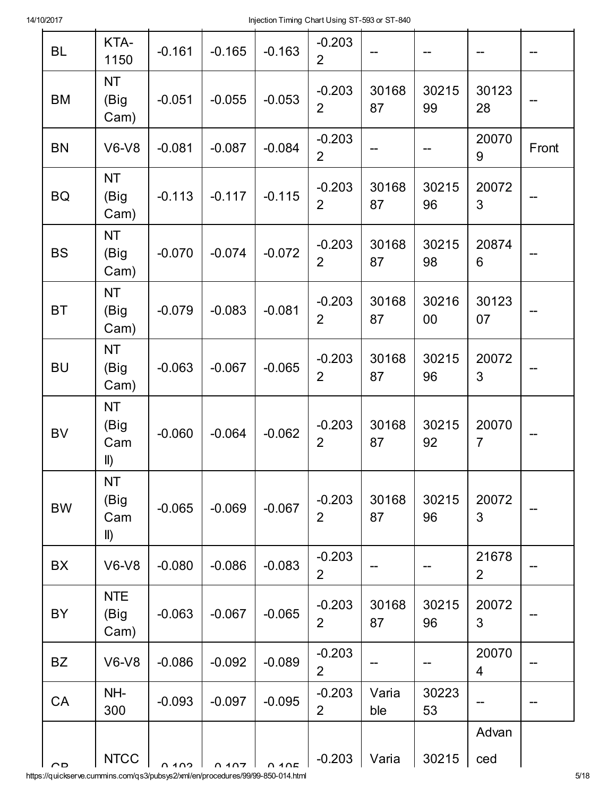| <b>BL</b> | KTA-<br>1150                            | $-0.161$ | $-0.165$ | $-0.163$            | $-0.203$<br>$\overline{2}$ |              |             |                         |       |
|-----------|-----------------------------------------|----------|----------|---------------------|----------------------------|--------------|-------------|-------------------------|-------|
| <b>BM</b> | <b>NT</b><br>(Big<br>Cam)               | $-0.051$ | $-0.055$ | $-0.053$            | $-0.203$<br>$\overline{2}$ | 30168<br>87  | 30215<br>99 | 30123<br>28             |       |
| <b>BN</b> | $V6-V8$                                 | $-0.081$ | $-0.087$ | $-0.084$            | $-0.203$<br>$\overline{2}$ |              |             | 20070<br>9              | Front |
| <b>BQ</b> | <b>NT</b><br>(Big<br>Cam)               | $-0.113$ | $-0.117$ | $-0.115$            | $-0.203$<br>$\overline{2}$ | 30168<br>87  | 30215<br>96 | 20072<br>3              |       |
| <b>BS</b> | <b>NT</b><br>(Big<br>Cam)               | $-0.070$ | $-0.074$ | $-0.072$            | $-0.203$<br>$\overline{2}$ | 30168<br>87  | 30215<br>98 | 20874<br>6              |       |
| <b>BT</b> | <b>NT</b><br>(Big<br>Cam)               | $-0.079$ | $-0.083$ | $-0.081$            | $-0.203$<br>$\overline{2}$ | 30168<br>87  | 30216<br>00 | 30123<br>07             |       |
| <b>BU</b> | <b>NT</b><br>(Big<br>Cam)               | $-0.063$ | $-0.067$ | $-0.065$            | $-0.203$<br>$\overline{2}$ | 30168<br>87  | 30215<br>96 | 20072<br>3              |       |
| <b>BV</b> | <b>NT</b><br>(Big<br>Cam<br>$\parallel$ | $-0.060$ | $-0.064$ | $-0.062$            | $-0.203$<br>$\overline{2}$ | 30168<br>87  | 30215<br>92 | 20070<br>$\overline{7}$ |       |
| <b>BW</b> | <b>NT</b><br>(Big<br>Cam<br>$\parallel$ | $-0.065$ | $-0.069$ | $-0.067$            | $-0.203$<br>$\overline{2}$ | 30168<br>87  | 30215<br>96 | 20072<br>3              |       |
| <b>BX</b> | $V6-V8$                                 | $-0.080$ | $-0.086$ | $-0.083$            | $-0.203$<br>$\overline{2}$ |              |             | 21678<br>$\overline{2}$ |       |
| BY        | <b>NTE</b><br>(Big<br>Cam)              | $-0.063$ | $-0.067$ | $-0.065$            | $-0.203$<br>$\overline{2}$ | 30168<br>87  | 30215<br>96 | 20072<br>3              |       |
| <b>BZ</b> | $V6-V8$                                 | $-0.086$ | $-0.092$ | $-0.089$            | $-0.203$<br>$\overline{2}$ |              |             | 20070<br>4              |       |
| CA        | NH-<br>300                              | $-0.093$ | $-0.097$ | $-0.095$            | $-0.203$<br>$\overline{2}$ | Varia<br>ble | 30223<br>53 |                         |       |
|           |                                         |          |          |                     |                            |              |             | Advan                   |       |
| $\cap$    | <b>NTCC</b>                             | 0.402    | 0.407    | $\bigcap$ $\bigcap$ | $-0.203$                   | Varia        | 30215       | ced                     |       |

https://quickserve.cummins.com/qs3/pubsys2/xml/en/procedures/99/99-850-014.html 5/18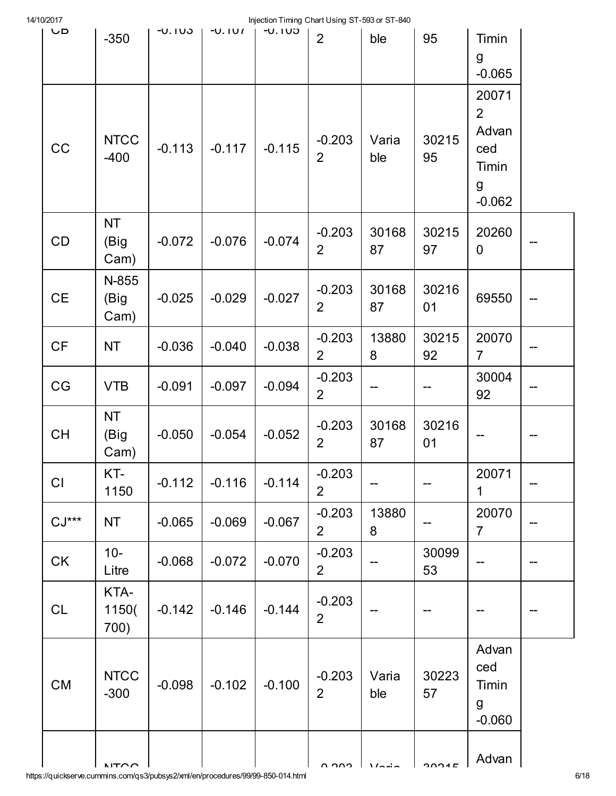| 14/10/2017 |                           |          |           |          | Injection Timing Chart Using ST-593 or ST-840 |               |                                                  |                                                                   |    |
|------------|---------------------------|----------|-----------|----------|-----------------------------------------------|---------------|--------------------------------------------------|-------------------------------------------------------------------|----|
| <b>UD</b>  | $-350$                    | $-0.103$ | $-U.$ IVI | $-U.1UJ$ | $\overline{2}$                                | ble           | 95                                               | Timin<br>$\mathsf g$<br>$-0.065$                                  |    |
| CC         | <b>NTCC</b><br>$-400$     | $-0.113$ | $-0.117$  | $-0.115$ | $-0.203$<br>$\overline{2}$                    | Varia<br>ble  | 30215<br>95                                      | 20071<br>$\overline{2}$<br>Advan<br>ced<br>Timin<br>g<br>$-0.062$ |    |
| CD         | <b>NT</b><br>(Big<br>Cam) | $-0.072$ | $-0.076$  | $-0.074$ | $-0.203$<br>$\overline{2}$                    | 30168<br>87   | 30215<br>97                                      | 20260<br>0                                                        |    |
| <b>CE</b>  | N-855<br>(Big<br>Cam)     | $-0.025$ | $-0.029$  | $-0.027$ | $-0.203$<br>$\overline{2}$                    | 30168<br>87   | 30216<br>01                                      | 69550                                                             |    |
| CF         | <b>NT</b>                 | $-0.036$ | $-0.040$  | $-0.038$ | $-0.203$<br>$\overline{2}$                    | 13880<br>8    | 30215<br>92                                      | 20070<br>$\overline{7}$                                           |    |
| CG         | <b>VTB</b>                | $-0.091$ | $-0.097$  | $-0.094$ | $-0.203$<br>$\overline{2}$                    |               |                                                  | 30004<br>92                                                       |    |
| <b>CH</b>  | <b>NT</b><br>(Big<br>Cam) | $-0.050$ | $-0.054$  | $-0.052$ | $-0.203$<br>$\overline{2}$                    | 30168<br>87   | 30216<br>01                                      |                                                                   |    |
| CI         | KT-<br>1150               | $-0.112$ | $-0.116$  | $-0.114$ | $-0.203$<br>$\overline{2}$                    | --            |                                                  | 20071<br>$\mathbf 1$                                              |    |
| $CJ***$    | <b>NT</b>                 | $-0.065$ | $-0.069$  | $-0.067$ | $-0.203$<br>$\overline{2}$                    | 13880<br>8    |                                                  | 20070<br>$\overline{7}$                                           |    |
| CK         | $10-$<br>Litre            | $-0.068$ | $-0.072$  | $-0.070$ | $-0.203$<br>$\overline{2}$                    | --            | 30099<br>53                                      |                                                                   | -- |
| CL         | KTA-<br>1150(<br>700)     | $-0.142$ | $-0.146$  | $-0.144$ | $-0.203$<br>$\overline{2}$                    |               |                                                  |                                                                   |    |
| CM         | <b>NTCC</b><br>$-300$     | $-0.098$ | $-0.102$  | $-0.100$ | $-0.203$<br>$\overline{2}$                    | Varia<br>ble  | 30223<br>57                                      | Advan<br>ced<br>Timin<br>g<br>$-0.060$                            |    |
|            | NTOM                      |          |           |          | n nnn                                         | $\frac{1}{2}$ | $\begin{array}{c}\n\mathbf{0.004F}\n\end{array}$ | Advan                                                             |    |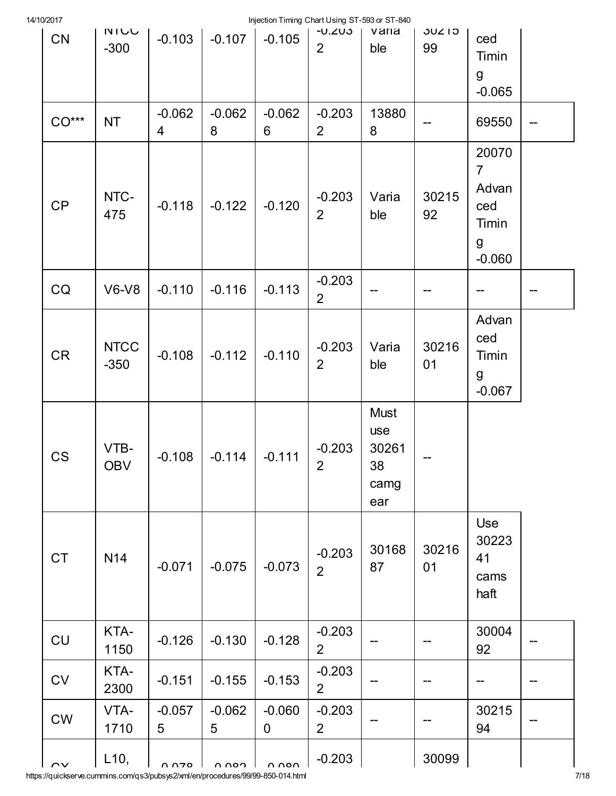| 14/10/2017 |  |
|------------|--|
|            |  |

| 10/2011<br>CN | <b>NIUU</b><br>$-300$ | $-0.103$      | $-0.107$      | $-0.105$                | injection i milling Chart Osing 31-353 or 31-640<br>-U.ZU3<br>$\overline{2}$ | varia<br>ble                                     | <b>JUZ15</b><br>99 | ced<br>Timin<br>g<br>$-0.065$                                     |  |
|---------------|-----------------------|---------------|---------------|-------------------------|------------------------------------------------------------------------------|--------------------------------------------------|--------------------|-------------------------------------------------------------------|--|
| $CO***$       | <b>NT</b>             | $-0.062$<br>4 | $-0.062$<br>8 | $-0.062$<br>6           | $-0.203$<br>$\overline{2}$                                                   | 13880<br>8                                       |                    | 69550                                                             |  |
| CP            | NTC-<br>475           | $-0.118$      | $-0.122$      | $-0.120$                | $-0.203$<br>$\overline{2}$                                                   | Varia<br>ble                                     | 30215<br>92        | 20070<br>$\overline{7}$<br>Advan<br>ced<br>Timin<br>g<br>$-0.060$ |  |
| CQ            | $V6-V8$               | $-0.110$      | $-0.116$      | $-0.113$                | $-0.203$<br>$\overline{2}$                                                   |                                                  |                    |                                                                   |  |
| <b>CR</b>     | <b>NTCC</b><br>$-350$ | $-0.108$      | $-0.112$      | $-0.110$                | $-0.203$<br>$\overline{2}$                                                   | Varia<br>ble                                     | 30216<br>01        | Advan<br>ced<br>Timin<br>g<br>$-0.067$                            |  |
| <b>CS</b>     | VTB-<br><b>OBV</b>    | $-0.108$      | $-0.114$      | $-0.111$                | $-0.203$<br>$\overline{2}$                                                   | <b>Must</b><br>use<br>30261<br>38<br>camg<br>ear |                    |                                                                   |  |
| <b>CT</b>     | N <sub>14</sub>       | $-0.071$      | $-0.075$      | $-0.073$                | $-0.203$<br>$\overline{2}$                                                   | 30168<br>87                                      | 30216<br>01        | Use<br>30223<br>41<br>cams<br>haft                                |  |
| CU            | KTA-<br>1150          | $-0.126$      | $-0.130$      | $-0.128$                | $-0.203$<br>$\overline{2}$                                                   |                                                  |                    | 30004<br>92                                                       |  |
| <b>CV</b>     | KTA-<br>2300          | $-0.151$      | $-0.155$      | $-0.153$                | $-0.203$<br>$\overline{2}$                                                   |                                                  |                    | --                                                                |  |
| CW            | VTA-<br>1710          | $-0.057$<br>5 | $-0.062$<br>5 | $-0.060$<br>$\mathbf 0$ | $-0.203$<br>$\overline{2}$                                                   |                                                  |                    | 30215<br>94                                                       |  |
| $\sim$        | L10,                  | סדח ח         | n non         | n non                   | $-0.203$                                                                     |                                                  | 30099              |                                                                   |  |

https://quickserve.cummins.com/qs3/pubsys2/xml/en/procedures/99/99-850-014.html 7/18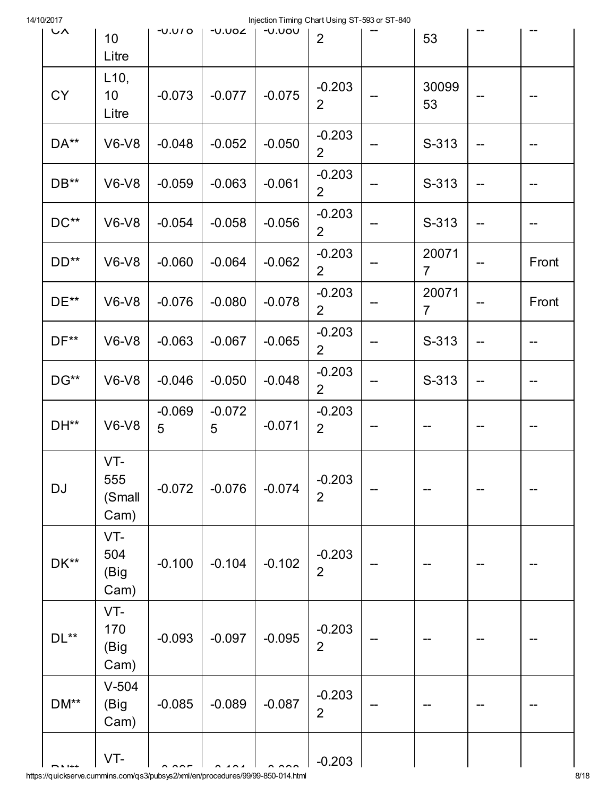| 1 <i>UI</i> 2017<br>いへ | 10<br>Litre                  | $-0.01$       | -∪.∪o∠        | INJECTION THING CHARLOSING 21-393 OF 21-640<br>$-0.000$ | $\overline{2}$             |    | 53                      |                          |       |
|------------------------|------------------------------|---------------|---------------|---------------------------------------------------------|----------------------------|----|-------------------------|--------------------------|-------|
| <b>CY</b>              | L10,<br>10<br>Litre          | $-0.073$      | $-0.077$      | $-0.075$                                                | $-0.203$<br>$\overline{2}$ |    | 30099<br>53             |                          |       |
| DA**                   | $V6-V8$                      | $-0.048$      | $-0.052$      | $-0.050$                                                | $-0.203$<br>$\overline{2}$ |    | S-313                   | --                       |       |
| DB**                   | $V6-V8$                      | $-0.059$      | $-0.063$      | $-0.061$                                                | $-0.203$<br>$\overline{2}$ |    | S-313                   | --                       |       |
| $DC**$                 | <b>V6-V8</b>                 | $-0.054$      | $-0.058$      | $-0.056$                                                | $-0.203$<br>$\overline{2}$ |    | S-313                   | --                       |       |
| $DD**$                 | <b>V6-V8</b>                 | $-0.060$      | $-0.064$      | $-0.062$                                                | $-0.203$<br>$\overline{2}$ |    | 20071<br>$\overline{7}$ |                          | Front |
| $DE**$                 | $V6-V8$                      | $-0.076$      | $-0.080$      | $-0.078$                                                | $-0.203$<br>$\overline{2}$ |    | 20071<br>$\overline{7}$ |                          | Front |
| $DF**$                 | $V6-V8$                      | $-0.063$      | $-0.067$      | $-0.065$                                                | $-0.203$<br>$\overline{2}$ | -- | S-313                   | $\overline{\phantom{m}}$ | --    |
| DG**                   | $V6-V8$                      | $-0.046$      | $-0.050$      | $-0.048$                                                | $-0.203$<br>$\overline{2}$ | -- | S-313                   | --                       | --    |
| DH**                   | $V6-V8$                      | $-0.069$<br>5 | $-0.072$<br>5 | $-0.071$                                                | $-0.203$<br>$\overline{2}$ |    |                         |                          |       |
| <b>DJ</b>              | VT-<br>555<br>(Small<br>Cam) | $-0.072$      | $-0.076$      | $-0.074$                                                | $-0.203$<br>$\overline{2}$ |    |                         |                          |       |
| DK**                   | VT-<br>504<br>(Big<br>Cam)   | $-0.100$      | $-0.104$      | $-0.102$                                                | $-0.203$<br>$\overline{2}$ |    |                         |                          |       |
| $DL**$                 | VT-<br>170<br>(Big<br>Cam)   | $-0.093$      | $-0.097$      | $-0.095$                                                | $-0.203$<br>$\overline{2}$ |    |                         |                          |       |
| DM**                   | $V-504$<br>(Big<br>Cam)      | $-0.085$      | $-0.089$      | $-0.087$                                                | $-0.203$<br>$\overline{2}$ |    |                         |                          |       |
|                        | VT-                          |               |               |                                                         | $-0.203$                   |    |                         |                          |       |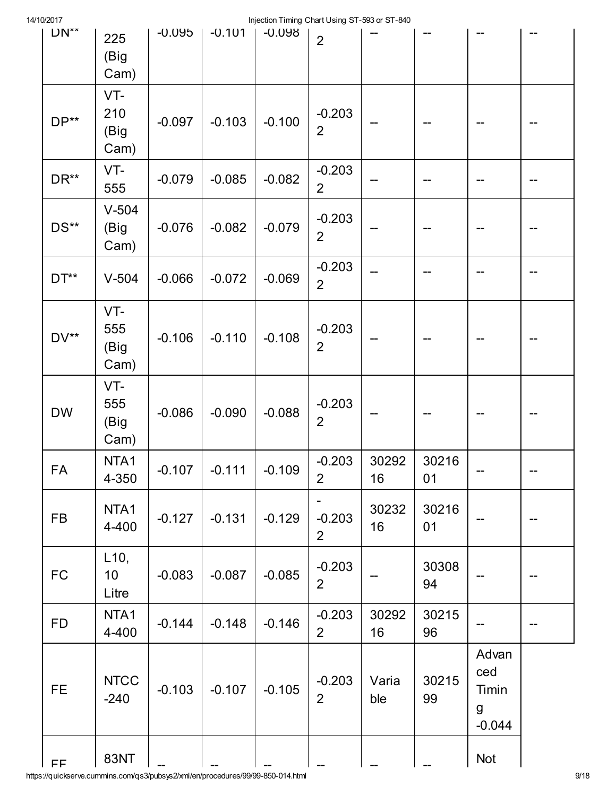| 14/10/2017 |
|------------|
|------------|

| 14/10/2017          |                                  |          |          | Injection Timing Chart Using ST-593 or ST-840 |                            |              |             |                                        |    |
|---------------------|----------------------------------|----------|----------|-----------------------------------------------|----------------------------|--------------|-------------|----------------------------------------|----|
| $UN^*$              | 225<br>(Big<br>Cam)              | $-0.095$ | $-0.101$ | $-0.098$                                      | $\overline{2}$             |              |             |                                        |    |
| $DP**$              | VT-<br>210<br>(Big<br>Cam)       | $-0.097$ | $-0.103$ | $-0.100$                                      | $-0.203$<br>$\overline{2}$ |              |             |                                        |    |
| DR**                | VT-<br>555                       | $-0.079$ | $-0.085$ | $-0.082$                                      | $-0.203$<br>$\overline{2}$ |              |             |                                        |    |
| DS**                | $V-504$<br>(Big<br>Cam)          | $-0.076$ | $-0.082$ | $-0.079$                                      | $-0.203$<br>$\overline{2}$ |              |             |                                        |    |
| $DT**$              | $V-504$                          | $-0.066$ | $-0.072$ | $-0.069$                                      | $-0.203$<br>$\overline{2}$ |              |             |                                        |    |
| DV**                | VT-<br>555<br>(Big<br>Cam)       | $-0.106$ | $-0.110$ | $-0.108$                                      | $-0.203$<br>$\overline{2}$ |              |             |                                        |    |
| <b>DW</b>           | VT-<br>555<br>(Big<br>Cam)       | $-0.086$ | $-0.090$ | $-0.088$                                      | $-0.203$<br>$\overline{2}$ |              |             |                                        |    |
| <b>FA</b>           | NTA1<br>4-350                    | $-0.107$ | $-0.111$ | $-0.109$                                      | $-0.203$<br>$\overline{2}$ | 30292<br>16  | 30216<br>01 |                                        | —— |
| <b>FB</b>           | NTA1<br>4-400                    | $-0.127$ | $-0.131$ | $-0.129$                                      | $-0.203$<br>$\overline{2}$ | 30232<br>16  | 30216<br>01 |                                        |    |
| <b>FC</b>           | L10,<br>10 <sup>°</sup><br>Litre | $-0.083$ | $-0.087$ | $-0.085$                                      | $-0.203$<br>$\overline{2}$ |              | 30308<br>94 |                                        |    |
| <b>FD</b>           | NTA1<br>4-400                    | $-0.144$ | $-0.148$ | $-0.146$                                      | $-0.203$<br>$\overline{2}$ | 30292<br>16  | 30215<br>96 |                                        |    |
| <b>FE</b>           | <b>NTCC</b><br>$-240$            | $-0.103$ | $-0.107$ | $-0.105$                                      | $-0.203$<br>$\overline{2}$ | Varia<br>ble | 30215<br>99 | Advan<br>ced<br>Timin<br>g<br>$-0.044$ |    |
| $\mathsf{FF}% _{0}$ | <b>83NT</b>                      |          |          |                                               |                            |              |             | <b>Not</b>                             |    |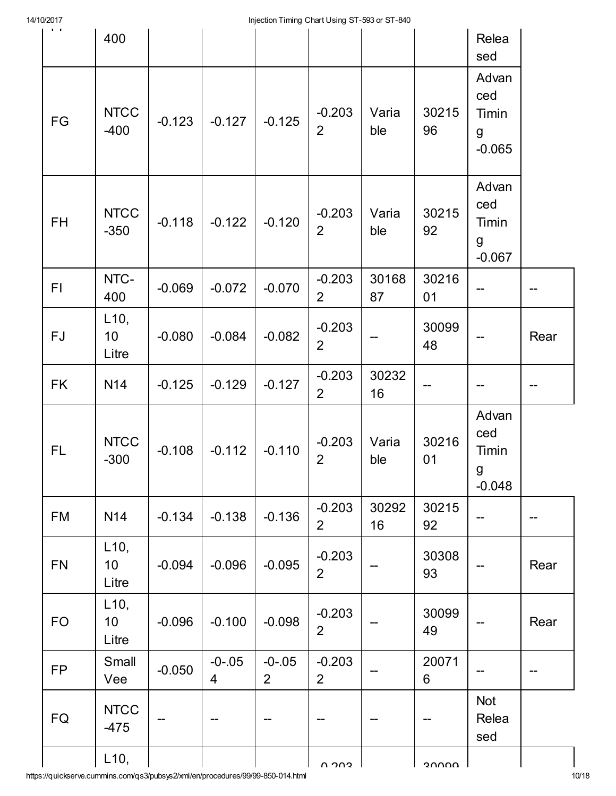| 1 U Z U I I             |                                  |          |                               | injection infinity Chart Oshig Or-333 or Or-040 |                            |              |             |                                        |      |
|-------------------------|----------------------------------|----------|-------------------------------|-------------------------------------------------|----------------------------|--------------|-------------|----------------------------------------|------|
| $\mathbf{r}=\mathbf{r}$ | 400                              |          |                               |                                                 |                            |              |             | Relea<br>sed                           |      |
| FG                      | <b>NTCC</b><br>$-400$            | $-0.123$ | $-0.127$                      | $-0.125$                                        | $-0.203$<br>$\overline{2}$ | Varia<br>ble | 30215<br>96 | Advan<br>ced<br>Timin<br>g<br>$-0.065$ |      |
| FH                      | <b>NTCC</b><br>$-350$            | $-0.118$ | $-0.122$                      | $-0.120$                                        | $-0.203$<br>$\overline{2}$ | Varia<br>ble | 30215<br>92 | Advan<br>ced<br>Timin<br>g<br>$-0.067$ |      |
| F1                      | NTC-<br>400                      | $-0.069$ | $-0.072$                      | $-0.070$                                        | $-0.203$<br>$\overline{2}$ | 30168<br>87  | 30216<br>01 |                                        |      |
| <b>FJ</b>               | L10,<br>10<br>Litre              | $-0.080$ | $-0.084$                      | $-0.082$                                        | $-0.203$<br>$\overline{2}$ |              | 30099<br>48 |                                        | Rear |
| <b>FK</b>               | <b>N14</b>                       | $-0.125$ | $-0.129$                      | $-0.127$                                        | $-0.203$<br>$\overline{2}$ | 30232<br>16  |             |                                        |      |
| FL.                     | <b>NTCC</b><br>$-300$            | $-0.108$ | $-0.112$                      | $-0.110$                                        | $-0.203$<br>$\overline{2}$ | Varia<br>ble | 30216<br>01 | Advan<br>ced<br>Timin<br>g<br>$-0.048$ |      |
| <b>FM</b>               | N14                              | $-0.134$ | $-0.138$                      | $-0.136$                                        | $-0.203$<br>$\overline{2}$ | 30292<br>16  | 30215<br>92 |                                        |      |
| <b>FN</b>               | L10,<br>10 <sub>1</sub><br>Litre | $-0.094$ | $-0.096$                      | $-0.095$                                        | $-0.203$<br>$\overline{2}$ |              | 30308<br>93 |                                        | Rear |
| <b>FO</b>               | L10,<br>10<br>Litre              | $-0.096$ | $-0.100$                      | $-0.098$                                        | $-0.203$<br>$\overline{2}$ |              | 30099<br>49 |                                        | Rear |
| <b>FP</b>               | Small<br>Vee                     | $-0.050$ | $-0 - 0.05$<br>$\overline{4}$ | $-0 - 0.05$<br>$\overline{2}$                   | $-0.203$<br>$\overline{2}$ |              | 20071<br>6  |                                        |      |
| FQ                      | <b>NTCC</b><br>$-475$            |          |                               |                                                 |                            |              |             | <b>Not</b><br>Relea<br>sed             |      |
|                         | L10,                             |          |                               |                                                 | גּחר ח                     |              | טטטט        |                                        |      |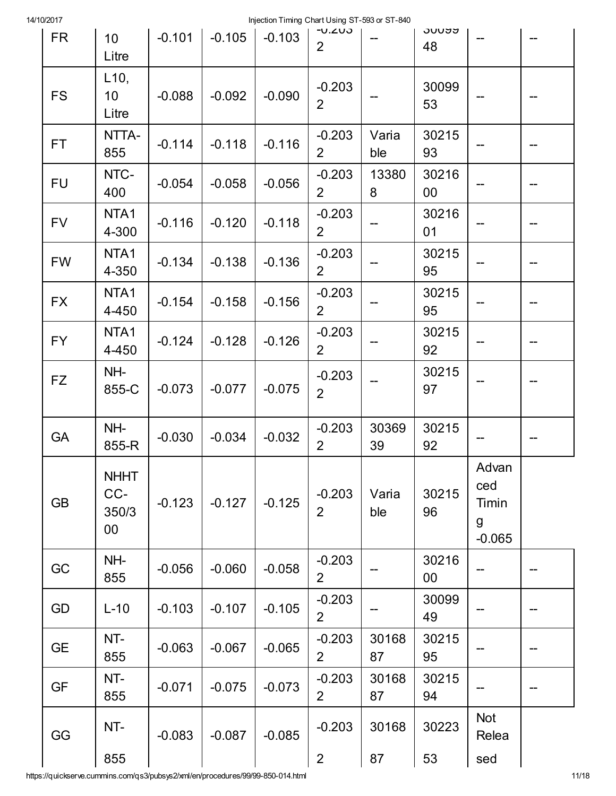| 10/2017   |                                       |          |          | Injection Timing Chart Using ST-593 or ST-840 |                               |              |             |                                        |  |
|-----------|---------------------------------------|----------|----------|-----------------------------------------------|-------------------------------|--------------|-------------|----------------------------------------|--|
| <b>FR</b> | 10 <sup>1</sup><br>Litre              | $-0.101$ | $-0.105$ | $-0.103$                                      | $U - U - U$<br>$\overline{2}$ |              | งบบฮฮ<br>48 |                                        |  |
| <b>FS</b> | L10,<br>10 <sup>°</sup><br>Litre      | $-0.088$ | $-0.092$ | $-0.090$                                      | $-0.203$<br>$\overline{2}$    |              | 30099<br>53 |                                        |  |
| FT.       | NTTA-<br>855                          | $-0.114$ | $-0.118$ | $-0.116$                                      | $-0.203$<br>$\overline{2}$    | Varia<br>ble | 30215<br>93 |                                        |  |
| <b>FU</b> | NTC-<br>400                           | $-0.054$ | $-0.058$ | $-0.056$                                      | $-0.203$<br>$\overline{2}$    | 13380<br>8   | 30216<br>00 |                                        |  |
| <b>FV</b> | NTA1<br>4-300                         | $-0.116$ | $-0.120$ | $-0.118$                                      | $-0.203$<br>$\overline{2}$    |              | 30216<br>01 |                                        |  |
| <b>FW</b> | NTA1<br>4-350                         | $-0.134$ | $-0.138$ | $-0.136$                                      | $-0.203$<br>$\overline{2}$    |              | 30215<br>95 |                                        |  |
| <b>FX</b> | NTA1<br>4-450                         | $-0.154$ | $-0.158$ | $-0.156$                                      | $-0.203$<br>$\overline{2}$    |              | 30215<br>95 |                                        |  |
| <b>FY</b> | NTA1<br>4-450                         | $-0.124$ | $-0.128$ | $-0.126$                                      | $-0.203$<br>$\overline{2}$    |              | 30215<br>92 |                                        |  |
| <b>FZ</b> | NH-<br>855-C                          | $-0.073$ | $-0.077$ | $-0.075$                                      | $-0.203$<br>$\overline{2}$    |              | 30215<br>97 |                                        |  |
| <b>GA</b> | NH-<br>855-R                          | $-0.030$ | $-0.034$ | $-0.032$                                      | $-0.203$<br>$\overline{2}$    | 30369<br>39  | 30215<br>92 |                                        |  |
| <b>GB</b> | <b>NHHT</b><br>CC-<br>350/3<br>$00\,$ | $-0.123$ | $-0.127$ | $-0.125$                                      | $-0.203$<br>$\overline{2}$    | Varia<br>ble | 30215<br>96 | Advan<br>ced<br>Timin<br>g<br>$-0.065$ |  |
| GC        | NH-<br>855                            | $-0.056$ | $-0.060$ | $-0.058$                                      | $-0.203$<br>$\overline{2}$    |              | 30216<br>00 |                                        |  |
| GD        | $L-10$                                | $-0.103$ | $-0.107$ | $-0.105$                                      | $-0.203$<br>$\overline{2}$    |              | 30099<br>49 |                                        |  |
| <b>GE</b> | NT-<br>855                            | $-0.063$ | $-0.067$ | $-0.065$                                      | $-0.203$<br>$\overline{2}$    | 30168<br>87  | 30215<br>95 |                                        |  |
| <b>GF</b> | NT-<br>855                            | $-0.071$ | $-0.075$ | $-0.073$                                      | $-0.203$<br>$\overline{2}$    | 30168<br>87  | 30215<br>94 |                                        |  |
| GG        | NT-                                   | $-0.083$ | $-0.087$ | $-0.085$                                      | $-0.203$                      | 30168        | 30223       | <b>Not</b><br>Relea                    |  |
|           | 855                                   |          |          |                                               | $\overline{2}$                | 87           | 53          | sed                                    |  |

https://quickserve.cummins.com/qs3/pubsys2/xml/en/procedures/99/99-850-014.html 11/18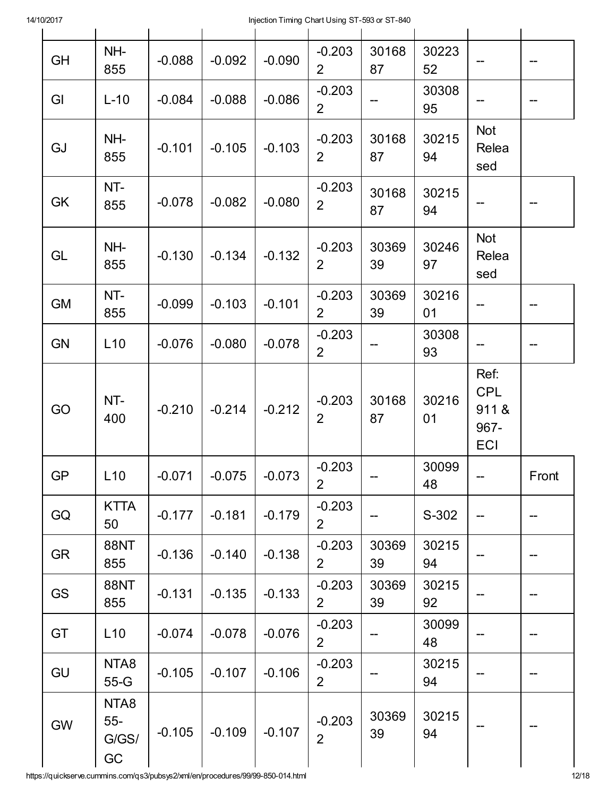| <b>GH</b> | NH-<br>855                    | $-0.088$ | $-0.092$ | $-0.090$ | $-0.203$<br>$\overline{2}$ | 30168<br>87 | 30223<br>52 | --                                        | --    |
|-----------|-------------------------------|----------|----------|----------|----------------------------|-------------|-------------|-------------------------------------------|-------|
| GI        | $L-10$                        | $-0.084$ | $-0.088$ | $-0.086$ | $-0.203$<br>$\overline{2}$ |             | 30308<br>95 |                                           |       |
| GJ        | NH-<br>855                    | $-0.101$ | $-0.105$ | $-0.103$ | $-0.203$<br>$\overline{2}$ | 30168<br>87 | 30215<br>94 | <b>Not</b><br>Relea<br>sed                |       |
| GK        | NT-<br>855                    | $-0.078$ | $-0.082$ | $-0.080$ | $-0.203$<br>$\overline{2}$ | 30168<br>87 | 30215<br>94 |                                           |       |
| GL        | NH-<br>855                    | $-0.130$ | $-0.134$ | $-0.132$ | $-0.203$<br>$\overline{2}$ | 30369<br>39 | 30246<br>97 | <b>Not</b><br>Relea<br>sed                |       |
| <b>GM</b> | NT-<br>855                    | $-0.099$ | $-0.103$ | $-0.101$ | $-0.203$<br>$\overline{2}$ | 30369<br>39 | 30216<br>01 |                                           |       |
| <b>GN</b> | L10                           | $-0.076$ | $-0.080$ | $-0.078$ | $-0.203$<br>$\overline{2}$ |             | 30308<br>93 |                                           |       |
| GO        | NT-<br>400                    | $-0.210$ | $-0.214$ | $-0.212$ | $-0.203$<br>$\overline{2}$ | 30168<br>87 | 30216<br>01 | Ref:<br><b>CPL</b><br>911&<br>967-<br>ECI |       |
| GP        | L10                           | $-0.071$ | $-0.075$ | $-0.073$ | $-0.203$<br>$\overline{2}$ |             | 30099<br>48 |                                           | Front |
| GQ        | <b>KTTA</b><br>50             | $-0.177$ | $-0.181$ | $-0.179$ | $-0.203$<br>$\overline{2}$ |             | S-302       |                                           |       |
| <b>GR</b> | <b>88NT</b><br>855            | $-0.136$ | $-0.140$ | $-0.138$ | $-0.203$<br>$\overline{2}$ | 30369<br>39 | 30215<br>94 |                                           |       |
| <b>GS</b> | <b>88NT</b><br>855            | $-0.131$ | $-0.135$ | $-0.133$ | $-0.203$<br>$\overline{2}$ | 30369<br>39 | 30215<br>92 |                                           |       |
| GT        | L10                           | $-0.074$ | $-0.078$ | $-0.076$ | $-0.203$<br>$\overline{2}$ | --          | 30099<br>48 |                                           |       |
| GU        | NTA8<br>$55-G$                | $-0.105$ | $-0.107$ | $-0.106$ | $-0.203$<br>$\overline{2}$ |             | 30215<br>94 |                                           |       |
| <b>GW</b> | NTA8<br>$55 -$<br>G/SS/<br>GC | $-0.105$ | $-0.109$ | $-0.107$ | $-0.203$<br>$\overline{2}$ | 30369<br>39 | 30215<br>94 |                                           |       |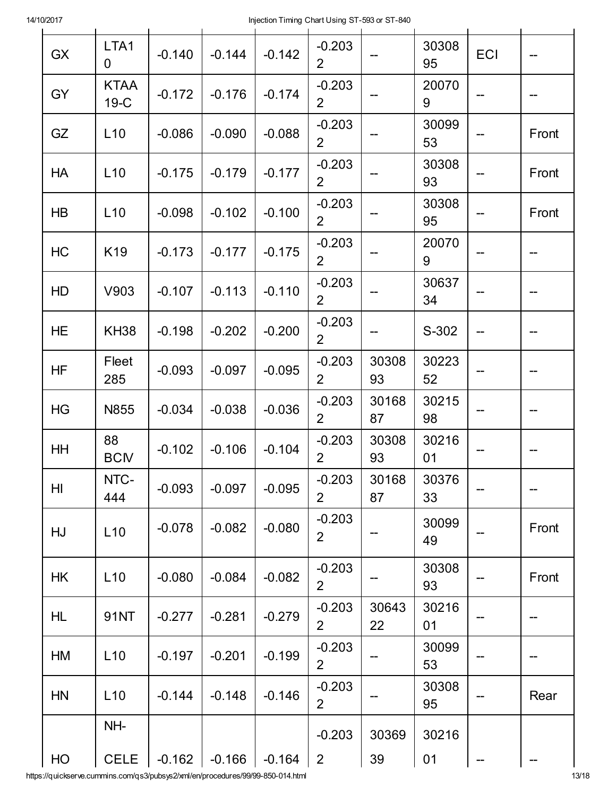| <b>GX</b> | LTA1<br>0             | $-0.140$ | $-0.144$ | $-0.142$ | $-0.203$<br>$\overline{2}$ |             | 30308<br>95 | ECI |       |
|-----------|-----------------------|----------|----------|----------|----------------------------|-------------|-------------|-----|-------|
| GY        | <b>KTAA</b><br>$19-C$ | $-0.172$ | $-0.176$ | $-0.174$ | $-0.203$<br>$\overline{2}$ |             | 20070<br>9  |     |       |
| GZ        | L10                   | $-0.086$ | $-0.090$ | $-0.088$ | $-0.203$<br>$\overline{2}$ |             | 30099<br>53 |     | Front |
| HA        | L10                   | $-0.175$ | $-0.179$ | $-0.177$ | $-0.203$<br>$\overline{2}$ |             | 30308<br>93 |     | Front |
| <b>HB</b> | L10                   | $-0.098$ | $-0.102$ | $-0.100$ | $-0.203$<br>$\overline{2}$ |             | 30308<br>95 |     | Front |
| HC        | K19                   | $-0.173$ | $-0.177$ | $-0.175$ | $-0.203$<br>$\overline{2}$ |             | 20070<br>9  |     |       |
| HD        | V903                  | $-0.107$ | $-0.113$ | $-0.110$ | $-0.203$<br>$\overline{2}$ |             | 30637<br>34 |     |       |
| <b>HE</b> | <b>KH38</b>           | $-0.198$ | $-0.202$ | $-0.200$ | $-0.203$<br>2 <sup>1</sup> |             | S-302       |     |       |
| <b>HF</b> | Fleet<br>285          | $-0.093$ | $-0.097$ | $-0.095$ | $-0.203$<br>$\overline{2}$ | 30308<br>93 | 30223<br>52 |     |       |
| HG        | N855                  | $-0.034$ | $-0.038$ | $-0.036$ | $-0.203$<br>$\overline{2}$ | 30168<br>87 | 30215<br>98 |     |       |
| HH        | 88<br><b>BCM</b>      | $-0.102$ | $-0.106$ | $-0.104$ | $-0.203$<br>$\overline{2}$ | 30308<br>93 | 30216<br>01 |     |       |
| HI        | NTC-<br>444           | $-0.093$ | $-0.097$ | $-0.095$ | $-0.203$<br>2 <sup>1</sup> | 30168<br>87 | 30376<br>33 |     |       |
| HJ        | L10                   | $-0.078$ | $-0.082$ | $-0.080$ | $-0.203$<br>$\overline{2}$ |             | 30099<br>49 |     | Front |
| HK        | L10                   | $-0.080$ | $-0.084$ | $-0.082$ | $-0.203$<br>$\overline{2}$ |             | 30308<br>93 |     | Front |
| <b>HL</b> | 91NT                  | $-0.277$ | $-0.281$ | $-0.279$ | $-0.203$<br>$\overline{2}$ | 30643<br>22 | 30216<br>01 |     |       |
| HM        | L10                   | $-0.197$ | $-0.201$ | $-0.199$ | $-0.203$<br>$\overline{2}$ |             | 30099<br>53 |     |       |
| <b>HN</b> | L10                   | $-0.144$ | $-0.148$ | $-0.146$ | $-0.203$<br>$\overline{2}$ |             | 30308<br>95 |     | Rear  |
|           | NH-                   |          |          |          | $-0.203$                   | 30369       | 30216       |     |       |
| HO        | <b>CELE</b>           | $-0.162$ | $-0.166$ | $-0.164$ | $\overline{2}$             | 39          | 01          |     |       |

https://quickserve.cummins.com/qs3/pubsys2/xml/en/procedures/99/99-850-014.html 13/18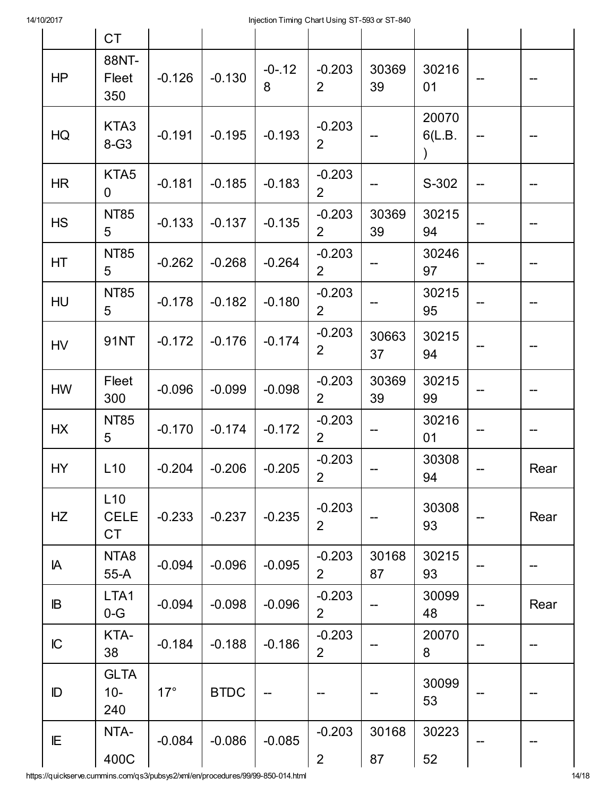| 1 U Z U I I    |                                 |            |             | injection riming Chart Osing Or-030 or Or-040 |                            |             |                                  |      |
|----------------|---------------------------------|------------|-------------|-----------------------------------------------|----------------------------|-------------|----------------------------------|------|
|                | <b>CT</b>                       |            |             |                                               |                            |             |                                  |      |
| H <sub>P</sub> | 88NT-<br>Fleet<br>350           | $-0.126$   | $-0.130$    | $-0 - 12$<br>8                                | $-0.203$<br>$\overline{2}$ | 30369<br>39 | 30216<br>01                      |      |
| HG             | KTA3<br>$8-G3$                  | $-0.191$   | $-0.195$    | $-0.193$                                      | $-0.203$<br>$\overline{2}$ |             | 20070<br>6(L.B.<br>$\mathcal{Y}$ |      |
| <b>HR</b>      | KTA5<br>0                       | $-0.181$   | $-0.185$    | $-0.183$                                      | $-0.203$<br>$\overline{2}$ |             | S-302                            |      |
| <b>HS</b>      | <b>NT85</b><br>5                | $-0.133$   | $-0.137$    | $-0.135$                                      | $-0.203$<br>$\overline{2}$ | 30369<br>39 | 30215<br>94                      |      |
| HT             | <b>NT85</b><br>5                | $-0.262$   | $-0.268$    | $-0.264$                                      | $-0.203$<br>$\overline{2}$ |             | 30246<br>97                      |      |
| HU             | <b>NT85</b><br>5                | $-0.178$   | $-0.182$    | $-0.180$                                      | $-0.203$<br>$\overline{2}$ |             | 30215<br>95                      |      |
| HV             | 91NT                            | $-0.172$   | $-0.176$    | $-0.174$                                      | $-0.203$<br>$\overline{2}$ | 30663<br>37 | 30215<br>94                      |      |
| <b>HW</b>      | Fleet<br>300                    | $-0.096$   | $-0.099$    | $-0.098$                                      | $-0.203$<br>$\overline{2}$ | 30369<br>39 | 30215<br>99                      |      |
| <b>HX</b>      | <b>NT85</b><br>5                | $-0.170$   | $-0.174$    | $-0.172$                                      | $-0.203$<br>$\overline{2}$ |             | 30216<br>01                      |      |
| HY             | L <sub>10</sub>                 | $-0.204$   | $-0.206$    | $-0.205$                                      | $-0.203$<br>$\overline{2}$ |             | 30308<br>94                      | Rear |
| HZ             | L10<br><b>CELE</b><br><b>CT</b> | $-0.233$   | $-0.237$    | $-0.235$                                      | $-0.203$<br>2              |             | 30308<br>93                      | Rear |
| IA             | NTA8<br>$55-A$                  | $-0.094$   | $-0.096$    | $-0.095$                                      | $-0.203$<br>$\overline{2}$ | 30168<br>87 | 30215<br>93                      |      |
| IB             | LTA1<br>$0-G$                   | $-0.094$   | $-0.098$    | $-0.096$                                      | $-0.203$<br>$\overline{2}$ |             | 30099<br>48                      | Rear |
| IC             | KTA-<br>38                      | $-0.184$   | $-0.188$    | $-0.186$                                      | $-0.203$<br>$\overline{2}$ |             | 20070<br>8                       | --   |
| ID             | <b>GLTA</b><br>$10 -$<br>240    | $17^\circ$ | <b>BTDC</b> |                                               |                            |             | 30099<br>53                      |      |
| IE             | NTA-<br>400C                    | $-0.084$   | $-0.086$    | $-0.085$                                      | $-0.203$<br>$\overline{2}$ | 30168<br>87 | 30223<br>52                      |      |

https://quickserve.cummins.com/qs3/pubsys2/xml/en/procedures/99/99-850-014.html 14/18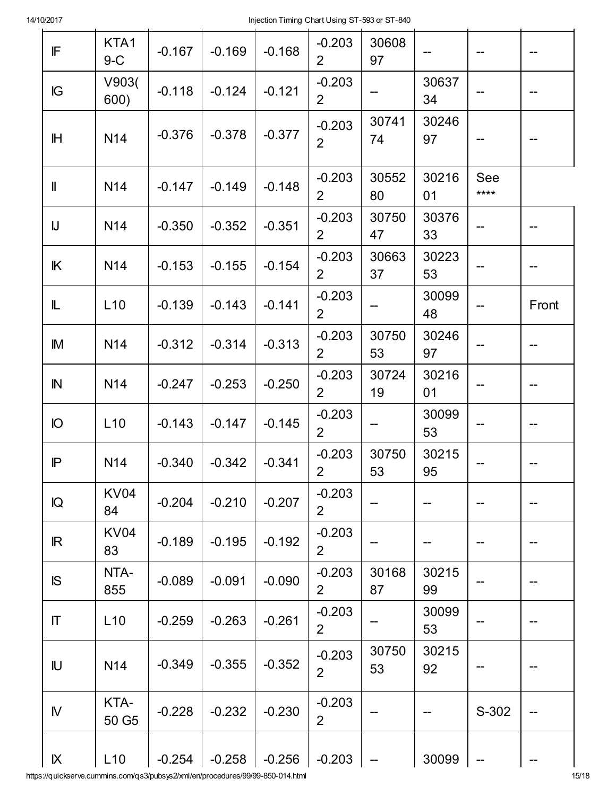| $\ensuremath{\mathop{\textsf{IF}}\nolimits}$ | KTA1<br>$9-C$     | $-0.167$ | $-0.169$ | $-0.168$ | $-0.203$<br>2 <sup>1</sup> | 30608<br>97 |             |             |       |
|----------------------------------------------|-------------------|----------|----------|----------|----------------------------|-------------|-------------|-------------|-------|
| IG                                           | V903(<br>600)     | $-0.118$ | $-0.124$ | $-0.121$ | $-0.203$<br>$\overline{2}$ |             | 30637<br>34 |             |       |
| $\mathbb H$                                  | N14               | $-0.376$ | $-0.378$ | $-0.377$ | $-0.203$<br>$\overline{2}$ | 30741<br>74 | 30246<br>97 |             |       |
| $\mathbf{I}$                                 | N14               | $-0.147$ | $-0.149$ | $-0.148$ | $-0.203$<br>$\overline{2}$ | 30552<br>80 | 30216<br>01 | See<br>**** |       |
| $\bigcup$                                    | N14               | $-0.350$ | $-0.352$ | $-0.351$ | $-0.203$<br>$\overline{2}$ | 30750<br>47 | 30376<br>33 |             |       |
| $\mathbb K$                                  | N14               | $-0.153$ | $-0.155$ | $-0.154$ | $-0.203$<br>$\overline{2}$ | 30663<br>37 | 30223<br>53 |             | --    |
| L                                            | L10               | $-0.139$ | $-0.143$ | $-0.141$ | $-0.203$<br>$\overline{2}$ |             | 30099<br>48 |             | Front |
| IM                                           | N14               | $-0.312$ | $-0.314$ | $-0.313$ | $-0.203$<br>$\overline{2}$ | 30750<br>53 | 30246<br>97 |             |       |
| $\mathbb N$                                  | N14               | $-0.247$ | $-0.253$ | $-0.250$ | $-0.203$<br>$\overline{2}$ | 30724<br>19 | 30216<br>01 |             |       |
| IO                                           | L10               | $-0.143$ | $-0.147$ | $-0.145$ | $-0.203$<br>$\overline{2}$ |             | 30099<br>53 |             |       |
| $\mathsf{P}$                                 | N14               | $-0.340$ | $-0.342$ | $-0.341$ | $-0.203$<br>$\overline{2}$ | 30750<br>53 | 30215<br>95 |             |       |
| IQ                                           | <b>KV04</b><br>84 | $-0.204$ | $-0.210$ | $-0.207$ | $-0.203$<br>$\overline{2}$ |             |             |             |       |
| $\mathbb{R}$                                 | <b>KV04</b><br>83 | $-0.189$ | $-0.195$ | $-0.192$ | $-0.203$<br>$\overline{2}$ | --          |             |             | --    |
| <b>IS</b>                                    | NTA-<br>855       | $-0.089$ | $-0.091$ | $-0.090$ | $-0.203$<br>$\overline{2}$ | 30168<br>87 | 30215<br>99 |             |       |
| $\mathsf T$                                  | L10               | $-0.259$ | $-0.263$ | $-0.261$ | $-0.203$<br>$\overline{2}$ |             | 30099<br>53 |             |       |
| IU                                           | N14               | $-0.349$ | $-0.355$ | $-0.352$ | $-0.203$<br>$\overline{2}$ | 30750<br>53 | 30215<br>92 |             |       |
| ${\sf N}$                                    | KTA-<br>50 G5     | $-0.228$ | $-0.232$ | $-0.230$ | $-0.203$<br>$\overline{2}$ |             |             | S-302       |       |
| IX                                           | L10               | $-0.254$ | $-0.258$ | $-0.256$ | $-0.203$                   |             | 30099       | --          |       |

https://quickserve.cummins.com/qs3/pubsys2/xml/en/procedures/99/99-850-014.html 15/18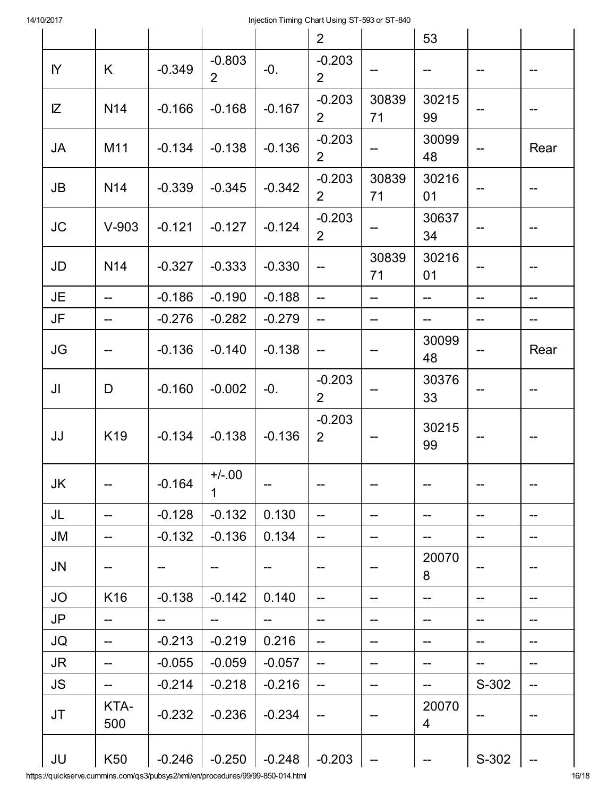|             |                                     |          |                         |          | 2 <sup>1</sup>             |                          | 53          |       |                          |
|-------------|-------------------------------------|----------|-------------------------|----------|----------------------------|--------------------------|-------------|-------|--------------------------|
| $\mathsf N$ | K.                                  | $-0.349$ | $-0.803$<br>$2^{\circ}$ | $-0.$    | $-0.203$<br>2 <sup>1</sup> | $\qquad \qquad -$        | --          | --    |                          |
| IZ          | N14                                 | $-0.166$ | $-0.168$                | $-0.167$ | $-0.203$<br>2 <sup>1</sup> | 30839<br>71              | 30215<br>99 |       |                          |
| JA          | M11                                 | $-0.134$ | $-0.138$                | $-0.136$ | $-0.203$<br>2 <sup>1</sup> | $\overline{\phantom{a}}$ | 30099<br>48 |       | Rear                     |
| JB          | N14                                 | $-0.339$ | $-0.345$                | $-0.342$ | $-0.203$<br>2 <sup>1</sup> | 30839<br>71              | 30216<br>01 |       |                          |
| <b>JC</b>   | $V-903$                             | $-0.121$ | $-0.127$                | $-0.124$ | $-0.203$<br>$\overline{2}$ | $-\!$                    | 30637<br>34 |       | --                       |
| JD          | <b>N14</b>                          | $-0.327$ | $-0.333$                | $-0.330$ | $\overline{\phantom{a}}$   | 30839<br>71              | 30216<br>01 |       | --                       |
| JE          |                                     | $-0.186$ | $-0.190$                | $-0.188$ | --                         | $-$                      | $-$         | --    | --                       |
| JF          |                                     | $-0.276$ | $-0.282$                | $-0.279$ | --                         | $-$                      | --          | --    |                          |
| JG          |                                     | $-0.136$ | $-0.140$                | $-0.138$ | --                         | ——                       | 30099<br>48 |       | Rear                     |
| JI          | D                                   | $-0.160$ | $-0.002$                | $-0.$    | $-0.203$<br>2 <sup>1</sup> |                          | 30376<br>33 |       |                          |
| JJ          | K19                                 | $-0.134$ | $-0.138$                | $-0.136$ | $-0.203$<br>$2^{\circ}$    | $\hspace{0.05cm}$ –      | 30215<br>99 |       |                          |
| JK          |                                     | $-0.164$ | $+/-.00$<br>1           |          | --                         | --                       |             | --    | --                       |
| JL          | $\overline{a}$                      | $-0.128$ | $-0.132$                | 0.130    | $\overline{a}$             | $-$                      | --          | --    | $\overline{\phantom{a}}$ |
| <b>JM</b>   | --                                  | $-0.132$ | $-0.136$                | 0.134    | --                         | --                       |             | --    | --                       |
| <b>JN</b>   |                                     |          | --                      |          |                            | ÷                        | 20070<br>8  | --    |                          |
| <b>JO</b>   | K16                                 | $-0.138$ | $-0.142$                | 0.140    | --                         | --                       | --          | --    | --                       |
| JP          |                                     | $-$      | --                      | --       | --                         | --                       | --          | --    |                          |
| JQ          | $-$                                 | $-0.213$ | $-0.219$                | 0.216    | $-$                        | --                       | --          | --    | --                       |
| <b>JR</b>   | --                                  | $-0.055$ | $-0.059$                | $-0.057$ | --                         | --                       |             | --    |                          |
| <b>JS</b>   | $\hspace{0.05cm}$ $\hspace{0.05cm}$ | $-0.214$ | $-0.218$                | $-0.216$ | $\qquad \qquad -$          | $\qquad \qquad -$        | --          | S-302 | $\hspace{0.05cm}$ ––     |
| JT          | KTA-<br>500                         | $-0.232$ | $-0.236$                | $-0.234$ | --                         |                          | 20070<br>4  |       |                          |
| JU          | K50                                 | $-0.246$ | $-0.250$                | $-0.248$ | $-0.203$                   | $\rightarrowtail$        |             | S-302 |                          |

https://quickserve.cummins.com/qs3/pubsys2/xml/en/procedures/99/99-850-014.html 16/18